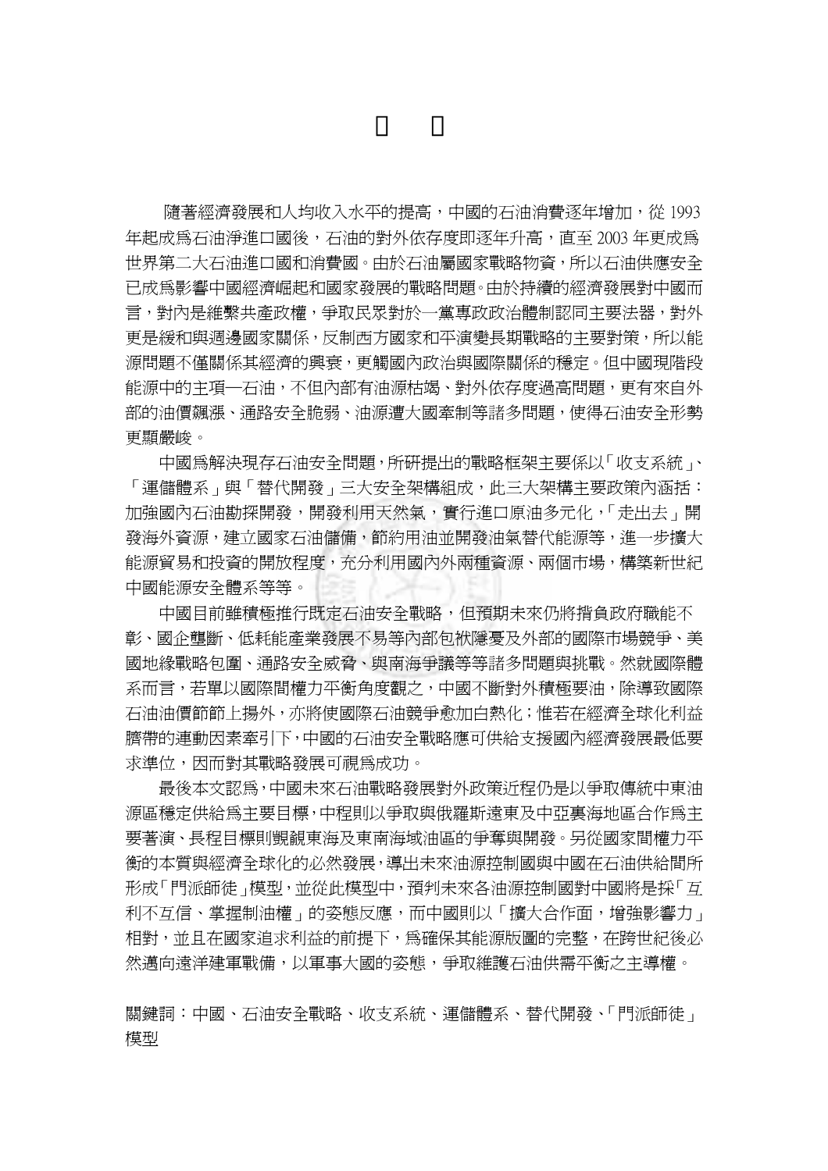隨著經濟發展和人均收入水平的提高,中國的石油消費逐年增加,從 1993 年起成為石油淨進口國後,石油的對外依存度即逐年升高,直至 2003 年更成為 世界第二大石油進口國和消費國。由於石油屬國家戰略物資,所以石油供應安全 已成為影響中國經濟崛起和國家發展的戰略問題。由於持續的經濟發展對中國而 言,對內是維繫共產政權,爭取民眾對於一黨專政政治體制認同主要法器,對外 更是緩和與週邊國家關係,反制西方國家和平演變長期戰略的主要對策,所以能 源問題不僅關係其經濟的興衰,更觸國內政治與國際關係的穩定。但中國現階段 能源中的主項—石油,不但內部有油源枯竭、對外依存度過高問題,更有來自外 部的油價飆漲、通路安全脆弱、油源遭大國牽制等諸多問題,使得石油安全形勢 更顯嚴峻。

中國為解決現存石油安全問題,所研提出的戰略框架主要係以「收支系統」、 「運儲體系」與「替代開發」三大安全架構組成,此三大架構主要政策內涵括: 加強國內石油勘探開發,開發利用天然氣,實行進口原油多元化,「走出去」開 發海外資源,建立國家石油儲備,節約用油並開發油氣替代能源等,進一步擴大 能源貿易和投資的開放程度,充分利用國內外兩種資源、兩個市場,構築新世紀 中國能源安全體系等等。

中國目前雖積極推行既定石油安全戰略,但預期未來仍將揹負政府職能不 彰、國企壟斷、低耗能產業發展不易等內部包袱隱憂及外部的國際市場競爭、美 國地緣戰略包圍、通路安全威脅、與南海爭議等等諸多問題與挑戰。然就國際體 系而言,若單以國際間權力平衡角度觀之,中國不斷對外積極要油,除導致國際 石油油價節節上揚外,亦將使國際石油競爭愈加白熱化;惟若在經濟全球化利益 臍帶的連動因素牽引下,中國的石油安全戰略應可供給支援國內經濟發展最低要 求準位,因而對其戰略發展可視為成功。

最後本文認為,中國未來石油戰略發展對外政策近程仍是以爭取傳統中東油 源區穩定供給為主要目標,中程則以爭取與俄羅斯遠東及中亞裏海地區合作為主 要著演、長程目標則覬覦東海及東南海域油區的爭奪與開發。另從國家間權力平 衡的本質與經濟全球化的必然發展,導出未來油源控制國與中國在石油供給間所 形成「門派師徒」模型,並從此模型中,預判未來各油源控制國對中國將是採「互 利不互信、掌握制油權」的姿態反應,而中國則以「擴大合作面,增強影響力」 相對,並且在國家追求利益的前提下,為確保其能源版圖的完整,在跨世紀後必 然邁向遠洋建軍戰備,以軍事大國的姿態,爭取維護石油供需平衡之主導權。

關鍵詞:中國、石油安全戰略、收支系統、運儲體系、替代開發、「門派師徒」 模型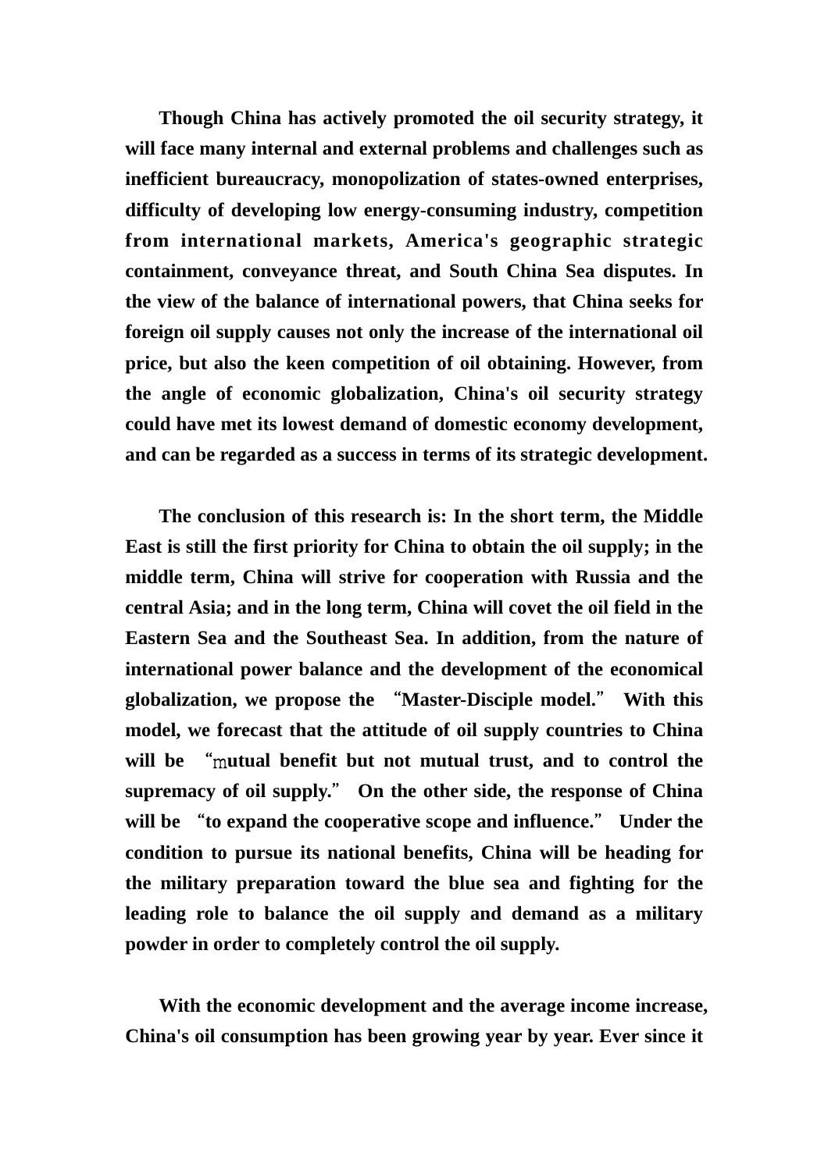**Though China has actively promoted the oil security strategy, it will face many internal and external problems and challenges such as inefficient bureaucracy, monopolization of states-owned enterprises, difficulty of developing low energy-consuming industry, competition from international markets, America's geographic strategic containment, conveyance threat, and South China Sea disputes. In the view of the balance of international powers, that China seeks for foreign oil supply causes not only the increase of the international oil price, but also the keen competition of oil obtaining. However, from the angle of economic globalization, China's oil security strategy could have met its lowest demand of domestic economy development, and can be regarded as a success in terms of its strategic development.** 

**The conclusion of this research is: In the short term, the Middle East is still the first priority for China to obtain the oil supply; in the middle term, China will strive for cooperation with Russia and the central Asia; and in the long term, China will covet the oil field in the Eastern Sea and the Southeast Sea. In addition, from the nature of international power balance and the development of the economical globalization, we propose the** "**Master-Disciple model.**" **With this model, we forecast that the attitude of oil supply countries to China will be** "m**utual benefit but not mutual trust, and to control the supremacy of oil supply.**" **On the other side, the response of China will be** "**to expand the cooperative scope and influence.**" **Under the condition to pursue its national benefits, China will be heading for the military preparation toward the blue sea and fighting for the leading role to balance the oil supply and demand as a military powder in order to completely control the oil supply.** 

**With the economic development and the average income increase, China's oil consumption has been growing year by year. Ever since it**